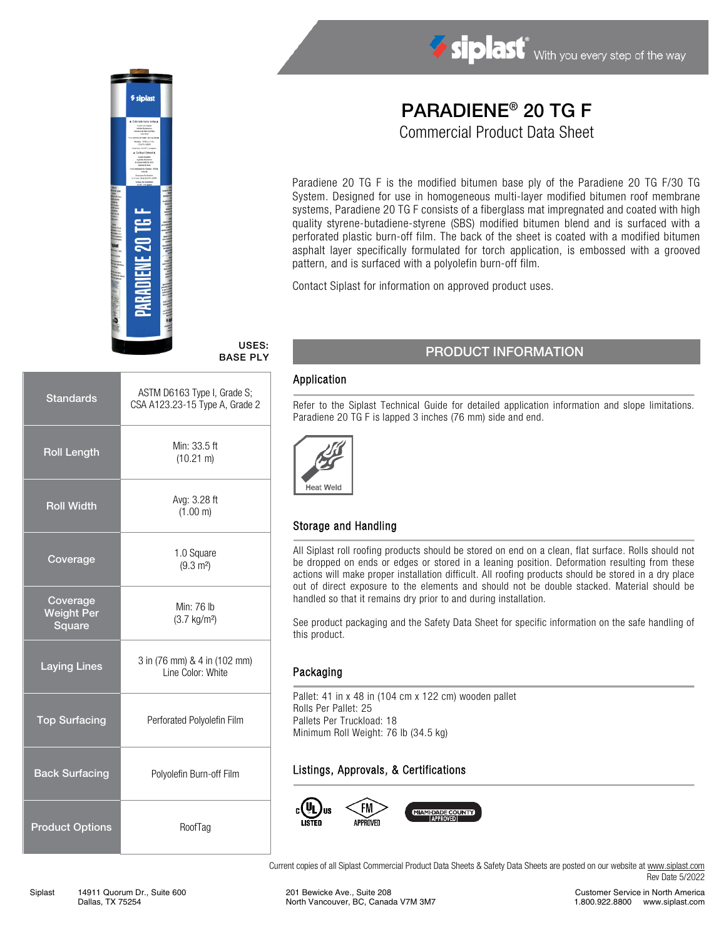

# Siplast With you every step of the way

## PARADIENE® 20 TG F

Commercial Product Data Sheet

Paradiene 20 TG F is the modified bitumen base ply of the Paradiene 20 TG F/30 TG System. Designed for use in homogeneous multi-layer modified bitumen roof membrane systems, Paradiene 20 TG F consists of a fiberglass mat impregnated and coated with high quality styrene-butadiene-styrene (SBS) modified bitumen blend and is surfaced with a perforated plastic burn-off film. The back of the sheet is coated with a modified bitumen asphalt layer specifically formulated for torch application, is embossed with a grooved pattern, and is surfaced with a polyolefin burn-off film.

Contact Siplast for information on approved product uses.

USES: BASE PLY

| <b>Standards</b>                               | ASTM D6163 Type I, Grade S;<br>CSA A123.23-15 Type A, Grade 2 |  |
|------------------------------------------------|---------------------------------------------------------------|--|
| <b>Roll Length</b>                             | Min: 33.5 ft<br>$(10.21 \text{ m})$                           |  |
| <b>Roll Width</b>                              | Avg: 3.28 ft<br>(1.00 m)                                      |  |
| Coverage                                       | 1.0 Square<br>$(9.3 \text{ m}^2)$                             |  |
| Coverage<br><b>Weight Per</b><br><b>Square</b> | Min: 76 lb<br>$(3.7 \text{ kg/m}^2)$                          |  |
| <b>Laying Lines</b>                            | 3 in (76 mm) & 4 in (102 mm)<br>Line Color: White             |  |
| <b>Top Surfacing</b>                           | Perforated Polyolefin Film                                    |  |
| <b>Back Surfacing</b>                          | Polyolefin Burn-off Film                                      |  |
| <b>Product Options</b>                         | RoofTag                                                       |  |

### PRODUCT INFORMATION

#### Application

Refer to the Siplast Technical Guide for detailed application information and slope limitations. Paradiene 20 TG F is lapped 3 inches (76 mm) side and end.



#### Storage and Handling

All Siplast roll roofing products should be stored on end on a clean, flat surface. Rolls should not be dropped on ends or edges or stored in a leaning position. Deformation resulting from these actions will make proper installation difficult. All roofing products should be stored in a dry place out of direct exposure to the elements and should not be double stacked. Material should be handled so that it remains dry prior to and during installation.

See product packaging and the Safety Data Sheet for specific information on the safe handling of this product.

#### Packaging

Pallet: 41 in x 48 in (104 cm x 122 cm) wooden pallet Rolls Per Pallet: 25 Pallets Per Truckload: 18 Minimum Roll Weight: 76 lb (34.5 kg)

#### Listings, Approvals, & Certifications



Current copies of all Siplast Commercial Product Data Sheets & Safety Data Sheets are posted on our website a[t www.siplast.com](http://www.siplast.com/) Rev Date 5/2022

Customer Service in North America 1.800.922.8800 www.siplast.com